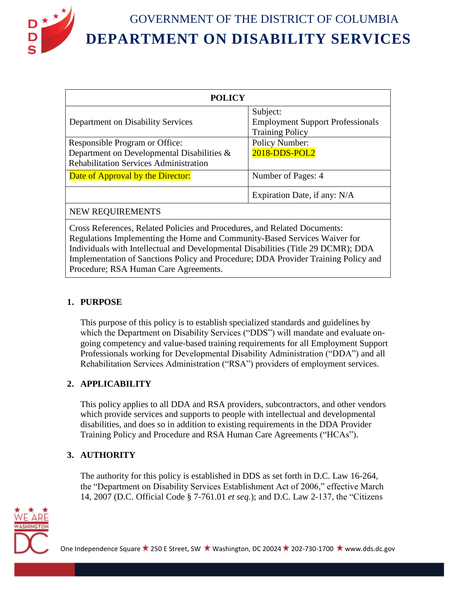

| <b>POLICY</b>                                                                 |  |
|-------------------------------------------------------------------------------|--|
| Subject:<br><b>Employment Support Professionals</b><br><b>Training Policy</b> |  |
| <b>Policy Number:</b><br>2018-DDS-POL2                                        |  |
| Number of Pages: 4                                                            |  |
| Expiration Date, if any: N/A                                                  |  |
| <b>NEW REQUIREMENTS</b>                                                       |  |
|                                                                               |  |

Cross References, Related Policies and Procedures, and Related Documents: Regulations Implementing the Home and Community-Based Services Waiver for Individuals with Intellectual and Developmental Disabilities (Title 29 DCMR); DDA Implementation of Sanctions Policy and Procedure; DDA Provider Training Policy and Procedure; RSA Human Care Agreements.

### **1. PURPOSE**

This purpose of this policy is to establish specialized standards and guidelines by which the Department on Disability Services ("DDS") will mandate and evaluate ongoing competency and value-based training requirements for all Employment Support Professionals working for Developmental Disability Administration ("DDA") and all Rehabilitation Services Administration ("RSA") providers of employment services.

# **2. APPLICABILITY**

This policy applies to all DDA and RSA providers, subcontractors, and other vendors which provide services and supports to people with intellectual and developmental disabilities, and does so in addition to existing requirements in the DDA Provider Training Policy and Procedure and RSA Human Care Agreements ("HCAs").

# **3. AUTHORITY**

The authority for this policy is established in DDS as set forth in D.C. Law 16-264, the "Department on Disability Services Establishment Act of 2006," effective March 14, 2007 (D.C. Official Code § 7-761.01 *et seq.*); and D.C. Law 2-137, the "Citizens

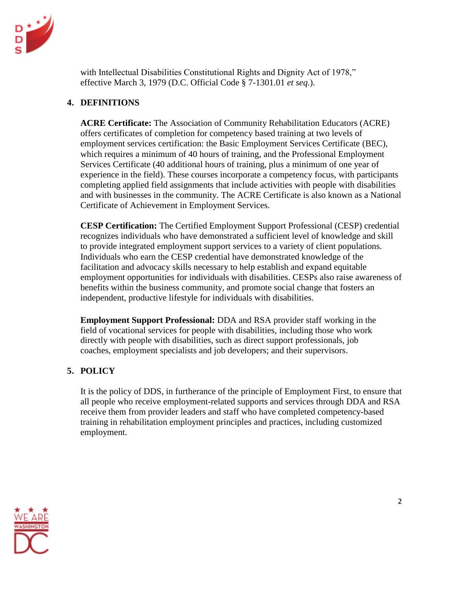

with Intellectual Disabilities Constitutional Rights and Dignity Act of 1978," effective March 3, 1979 (D.C. Official Code § 7-1301.01 *et seq.*).

### **4. DEFINITIONS**

**ACRE Certificate:** The Association of Community Rehabilitation Educators (ACRE) offers certificates of completion for competency based training at two levels of employment services certification: the Basic Employment Services Certificate (BEC), which requires a minimum of 40 hours of training, and the Professional Employment Services Certificate (40 additional hours of training, plus a minimum of one year of experience in the field). These courses incorporate a competency focus, with participants completing applied field assignments that include activities with people with disabilities and with businesses in the community. The ACRE Certificate is also known as a National Certificate of Achievement in Employment Services.

**CESP Certification:** The Certified Employment Support Professional (CESP) credential recognizes individuals who have demonstrated a sufficient level of knowledge and skill to provide integrated employment support services to a variety of client populations. Individuals who earn the CESP credential have demonstrated knowledge of the facilitation and advocacy skills necessary to help establish and expand equitable employment opportunities for individuals with disabilities. CESPs also raise awareness of benefits within the business community, and promote social change that fosters an independent, productive lifestyle for individuals with disabilities.

**Employment Support Professional:** DDA and RSA provider staff working in the field of vocational services for people with disabilities, including those who work directly with people with disabilities, such as direct support professionals, job coaches, employment specialists and job developers; and their supervisors.

# **5. POLICY**

It is the policy of DDS, in furtherance of the principle of Employment First, to ensure that all people who receive employment-related supports and services through DDA and RSA receive them from provider leaders and staff who have completed competency-based training in rehabilitation employment principles and practices, including customized employment.

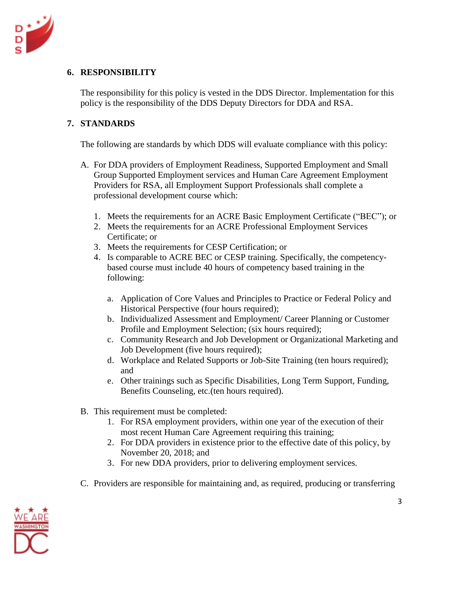

### **6. RESPONSIBILITY**

The responsibility for this policy is vested in the DDS Director. Implementation for this policy is the responsibility of the DDS Deputy Directors for DDA and RSA.

### **7. STANDARDS**

The following are standards by which DDS will evaluate compliance with this policy:

- A. For DDA providers of Employment Readiness, Supported Employment and Small Group Supported Employment services and Human Care Agreement Employment Providers for RSA, all Employment Support Professionals shall complete a professional development course which:
	- 1. Meets the requirements for an ACRE Basic Employment Certificate ("BEC"); or
	- 2. Meets the requirements for an ACRE Professional Employment Services Certificate; or
	- 3. Meets the requirements for CESP Certification; or
	- 4. Is comparable to ACRE BEC or CESP training. Specifically, the competencybased course must include 40 hours of competency based training in the following:
		- a. Application of Core Values and Principles to Practice or Federal Policy and Historical Perspective (four hours required);
		- b. Individualized Assessment and Employment/ Career Planning or Customer Profile and Employment Selection; (six hours required);
		- c. Community Research and Job Development or Organizational Marketing and Job Development (five hours required);
		- d. Workplace and Related Supports or Job-Site Training (ten hours required); and
		- e. Other trainings such as Specific Disabilities, Long Term Support, Funding, Benefits Counseling, etc.(ten hours required).
- B. This requirement must be completed:
	- 1. For RSA employment providers, within one year of the execution of their most recent Human Care Agreement requiring this training;
	- 2. For DDA providers in existence prior to the effective date of this policy, by November 20, 2018; and
	- 3. For new DDA providers, prior to delivering employment services.
- C. Providers are responsible for maintaining and, as required, producing or transferring